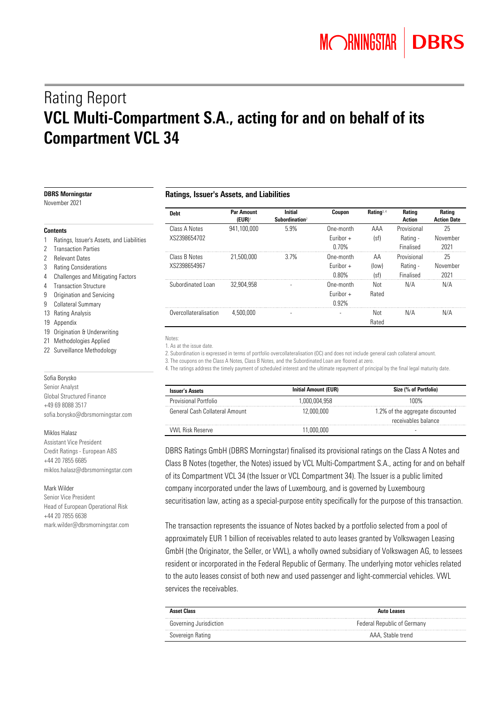# Rating Report VCL Multi-Compartment S.A., acting for and on behalf of its Compartment VCL 34

| <b>DBRS Morningstar</b><br>November 2021                                                          | Ratings, Issuer's Assets, and Liabilities |                                        |                                              |                                      |                        |                                      |                                     |
|---------------------------------------------------------------------------------------------------|-------------------------------------------|----------------------------------------|----------------------------------------------|--------------------------------------|------------------------|--------------------------------------|-------------------------------------|
|                                                                                                   | <b>Debt</b>                               | <b>Par Amount</b><br>$(EUR)^{\dagger}$ | <b>Initial</b><br>Subordination <sup>2</sup> | Coupon                               | Rating <sup>3, 4</sup> | Rating<br>Action                     | <b>Rating</b><br><b>Action Date</b> |
| Contents                                                                                          | Class A Notes<br>XS2398654702             | 941,100,000                            | 5.9%                                         | One-month<br>Euribor $+$             | AAA                    | Provisional                          | 25                                  |
| Ratings, Issuer's Assets, and Liabilities<br><b>Transaction Parties</b>                           |                                           |                                        |                                              | 0.70%                                | (sf)                   | Rating -<br>Finalised                | November<br>2021                    |
| <b>Relevant Dates</b><br><b>Rating Considerations</b><br>3<br>4 Challenges and Mitigating Factors | Class B Notes<br>XS2398654967             | 21,500,000                             | 3.7%                                         | One-month<br>Euribor $+$<br>$0.80\%$ | AA<br>(low)<br>(sf)    | Provisional<br>Rating -<br>Finalised | 25<br>November<br>2021              |
| <b>Transaction Structure</b><br>4<br>9 Origination and Servicing<br>9 Collateral Summary          | Subordinated Loan                         | 32.904.958                             |                                              | One-month<br>Euribor $+$<br>0.92%    | Not<br>Rated           | N/A                                  | N/A                                 |
| 13 Rating Analysis<br>19 Appendix                                                                 | Overcollateralisation                     | 4.500.000                              |                                              | $\overline{a}$                       | Not<br>Rated           | N/A                                  | N/A                                 |
| 19 Origination & Underwriting<br>21 Methodologies Applied                                         | Notes:<br>1 As at the issue date          |                                        |                                              |                                      |                        |                                      |                                     |

22 Surveillance Methodology

#### Sofia Borysko

Senior Analyst Global Structured Finance +49 69 8088 3517 sofia.borysko@dbrsmorningstar.com

#### Miklos Halasz

Assistant Vice President Credit Ratings - European ABS +44 20 7855 6685 miklos.halasz@dbrsmorningstar.com

#### Mark Wilder

Senior Vice President Head of European Operational Risk +44 20 7855 6638 mark.wilder@dbrsmorningstar.com 1. As at the issue date.

2. Subordination is expressed in terms of portfolio overcollateralisation (OC) and does not include general cash collateral amount.

3. The coupons on the Class A Notes, Class B Notes, and the Subordinated Loan are floored at zero.

4. The ratings address the timely payment of scheduled interest and the ultimate repayment of principal by the final legal maturity date.

| <b>Issuer's Assets</b>         | <b>Initial Amount (EUR)</b> | Size (% of Portfolio)                                   |
|--------------------------------|-----------------------------|---------------------------------------------------------|
| Provisional Portfolio          | 1.000.004.958               | 100%                                                    |
| General Cash Collateral Amount | 12.000.000                  | 1.2% of the aggregate discounted<br>receivables balance |
| <b>VWL Risk Reserve</b>        | 11.000.000                  |                                                         |

DBRS Ratings GmbH (DBRS Morningstar) finalised its provisional ratings on the Class A Notes and Class B Notes (together, the Notes) issued by VCL Multi-Compartment S.A., acting for and on behalf of its Compartment VCL 34 (the Issuer or VCL Compartment 34). The Issuer is a public limited company incorporated under the laws of Luxembourg, and is governed by Luxembourg securitisation law, acting as a special-purpose entity specifically for the purpose of this transaction.

The transaction represents the issuance of Notes backed by a portfolio selected from a pool of approximately EUR 1 billion of receivables related to auto leases granted by Volkswagen Leasing GmbH (the Originator, the Seller, or VWL), a wholly owned subsidiary of Volkswagen AG, to lessees resident or incorporated in the Federal Republic of Germany. The underlying motor vehicles related to the auto leases consist of both new and used passenger and light-commercial vehicles. VWL services the receivables.

| <b>Asset Class</b>     | Auto Leases                        |
|------------------------|------------------------------------|
| Governing Jurisdiction | <b>Federal Republic of Germany</b> |
| Sovereign Rating       | AAA, Stable trend                  |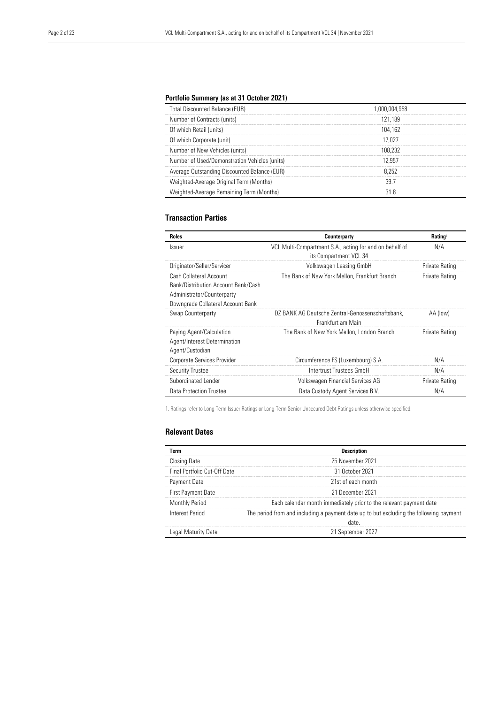#### Portfolio Summary (as at 31 October 2021)

| <b>Total Discounted Balance (EUR)</b>         | 1.000.004.958 |
|-----------------------------------------------|---------------|
| Number of Contracts (units)                   | 121.189       |
| Of which Retail (units)                       | 104.162       |
| Of which Corporate (unit)                     | 17 027        |
| Number of New Vehicles (units)                | 108 232       |
| Number of Used/Demonstration Vehicles (units) | 12.957        |
| Average Outstanding Discounted Balance (EUR)  | 8 252         |
| Weighted-Average Original Term (Months)       |               |
| Weighted-Average Remaining Term (Months)      |               |

#### Transaction Parties

| <b>Roles</b>                                                                                                                      | Counterparty                                                                      | Rating <sup>1</sup> |
|-----------------------------------------------------------------------------------------------------------------------------------|-----------------------------------------------------------------------------------|---------------------|
| Issuer                                                                                                                            | VCL Multi-Compartment S.A., acting for and on behalf of<br>its Compartment VCL 34 | N/A                 |
| Originator/Seller/Servicer                                                                                                        | Volkswagen Leasing GmbH                                                           | Private Rating      |
| Cash Collateral Account<br>Bank/Distribution Account Bank/Cash<br>Administrator/Counterparty<br>Downgrade Collateral Account Bank | The Bank of New York Mellon, Frankfurt Branch                                     | Private Rating      |
| Swap Counterparty                                                                                                                 | DZ BANK AG Deutsche Zentral-Genossenschaftsbank,<br>Frankfurt am Main             | AA (low)            |
| Paying Agent/Calculation<br>Agent/Interest Determination<br>Agent/Custodian                                                       | The Bank of New York Mellon, London Branch                                        | Private Rating      |
| Corporate Services Provider                                                                                                       | Circumference FS (Luxembourg) S.A.                                                | N/A                 |
| <b>Security Trustee</b>                                                                                                           | Intertrust Trustees GmbH                                                          | N/A                 |
| Subordinated Lender                                                                                                               | Volkswagen Financial Services AG                                                  | Private Rating      |
| Data Protection Trustee                                                                                                           | Data Custody Agent Services B.V.                                                  | N/A                 |

1. Ratings refer to Long-Term Issuer Ratings or Long-Term Senior Unsecured Debt Ratings unless otherwise specified.

#### Relevant Dates

| Term                         | <b>Description</b>                                                                             |
|------------------------------|------------------------------------------------------------------------------------------------|
| <b>Closing Date</b>          | 25 November 2021                                                                               |
| Final Portfolio Cut-Off Date | 31 October 2021                                                                                |
| Payment Date                 | 21st of each month                                                                             |
| First Payment Date           | 21 December 2021                                                                               |
| <b>Monthly Period</b>        | Each calendar month immediately prior to the relevant payment date                             |
| Interest Period              | The period from and including a payment date up to but excluding the following payment<br>date |
| Legal Maturity Date          | 21 September 2027                                                                              |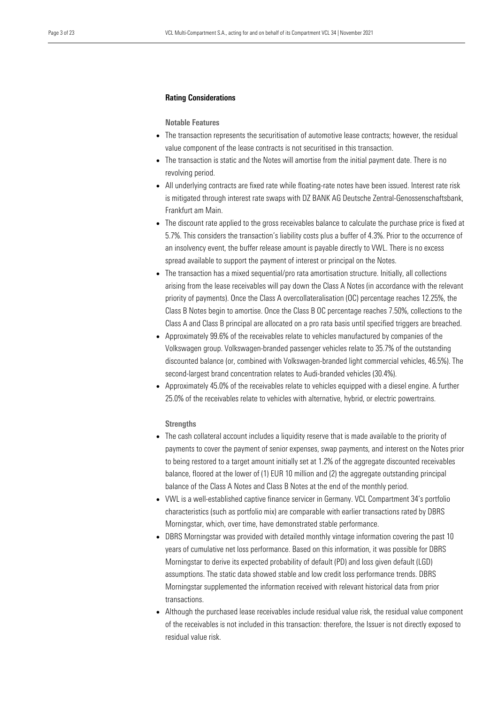#### Rating Considerations

Notable Features

- The transaction represents the securitisation of automotive lease contracts; however, the residual value component of the lease contracts is not securitised in this transaction.
- The transaction is static and the Notes will amortise from the initial payment date. There is no revolving period.
- All underlying contracts are fixed rate while floating-rate notes have been issued. Interest rate risk is mitigated through interest rate swaps with DZ BANK AG Deutsche Zentral-Genossenschaftsbank, Frankfurt am Main.
- The discount rate applied to the gross receivables balance to calculate the purchase price is fixed at 5.7%. This considers the transaction's liability costs plus a buffer of 4.3%. Prior to the occurrence of an insolvency event, the buffer release amount is payable directly to VWL. There is no excess spread available to support the payment of interest or principal on the Notes.
- The transaction has a mixed sequential/pro rata amortisation structure. Initially, all collections arising from the lease receivables will pay down the Class A Notes (in accordance with the relevant priority of payments). Once the Class A overcollateralisation (OC) percentage reaches 12.25%, the Class B Notes begin to amortise. Once the Class B OC percentage reaches 7.50%, collections to the Class A and Class B principal are allocated on a pro rata basis until specified triggers are breached.
- Approximately 99.6% of the receivables relate to vehicles manufactured by companies of the Volkswagen group. Volkswagen-branded passenger vehicles relate to 35.7% of the outstanding discounted balance (or, combined with Volkswagen-branded light commercial vehicles, 46.5%). The second-largest brand concentration relates to Audi-branded vehicles (30.4%).
- Approximately 45.0% of the receivables relate to vehicles equipped with a diesel engine. A further 25.0% of the receivables relate to vehicles with alternative, hybrid, or electric powertrains.

#### **Strengths**

- The cash collateral account includes a liquidity reserve that is made available to the priority of payments to cover the payment of senior expenses, swap payments, and interest on the Notes prior to being restored to a target amount initially set at 1.2% of the aggregate discounted receivables balance, floored at the lower of (1) EUR 10 million and (2) the aggregate outstanding principal balance of the Class A Notes and Class B Notes at the end of the monthly period.
- VWL is a well-established captive finance servicer in Germany. VCL Compartment 34's portfolio characteristics (such as portfolio mix) are comparable with earlier transactions rated by DBRS Morningstar, which, over time, have demonstrated stable performance.
- DBRS Morningstar was provided with detailed monthly vintage information covering the past 10 years of cumulative net loss performance. Based on this information, it was possible for DBRS Morningstar to derive its expected probability of default (PD) and loss given default (LGD) assumptions. The static data showed stable and low credit loss performance trends. DBRS Morningstar supplemented the information received with relevant historical data from prior transactions.
- Although the purchased lease receivables include residual value risk, the residual value component of the receivables is not included in this transaction: therefore, the Issuer is not directly exposed to residual value risk.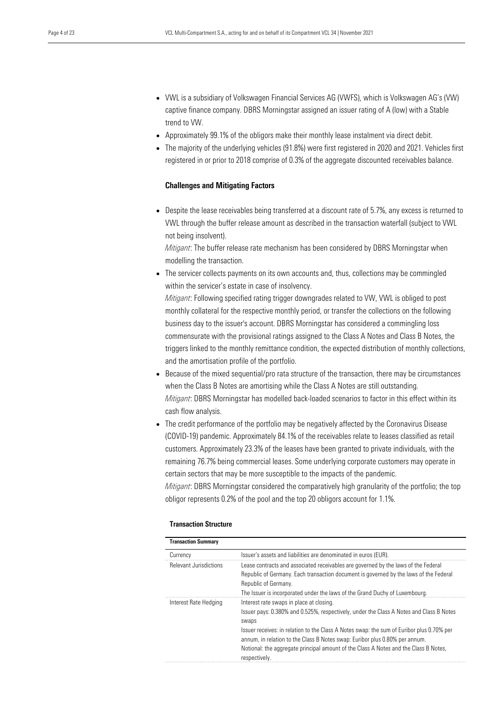- VWL is a subsidiary of Volkswagen Financial Services AG (VWFS), which is Volkswagen AG's (VW) captive finance company. DBRS Morningstar assigned an issuer rating of A (low) with a Stable trend to VW.
- Approximately 99.1% of the obligors make their monthly lease instalment via direct debit.
- The majority of the underlying vehicles (91.8%) were first registered in 2020 and 2021. Vehicles first registered in or prior to 2018 comprise of 0.3% of the aggregate discounted receivables balance.

#### Challenges and Mitigating Factors

• Despite the lease receivables being transferred at a discount rate of 5.7%, any excess is returned to VWL through the buffer release amount as described in the transaction waterfall (subject to VWL not being insolvent).

*Mitigant*: The buffer release rate mechanism has been considered by DBRS Morningstar when modelling the transaction.

• The servicer collects payments on its own accounts and, thus, collections may be commingled within the servicer's estate in case of insolvency.

*Mitigant*: Following specified rating trigger downgrades related to VW, VWL is obliged to post monthly collateral for the respective monthly period, or transfer the collections on the following business day to the issuer's account. DBRS Morningstar has considered a commingling loss commensurate with the provisional ratings assigned to the Class A Notes and Class B Notes, the triggers linked to the monthly remittance condition, the expected distribution of monthly collections, and the amortisation profile of the portfolio.

- Because of the mixed sequential/pro rata structure of the transaction, there may be circumstances when the Class B Notes are amortising while the Class A Notes are still outstanding. *Mitigant*: DBRS Morningstar has modelled back-loaded scenarios to factor in this effect within its cash flow analysis.
- The credit performance of the portfolio may be negatively affected by the Coronavirus Disease (COVID-19) pandemic. Approximately 84.1% of the receivables relate to leases classified as retail customers. Approximately 23.3% of the leases have been granted to private individuals, with the remaining 76.7% being commercial leases. Some underlying corporate customers may operate in certain sectors that may be more susceptible to the impacts of the pandemic.

*Mitigant*: DBRS Morningstar considered the comparatively high granularity of the portfolio; the top obligor represents 0.2% of the pool and the top 20 obligors account for 1.1%.

| <b>Transaction Summary</b>    |                                                                                                                                                                                                                                                                                                                                                                                                                                   |
|-------------------------------|-----------------------------------------------------------------------------------------------------------------------------------------------------------------------------------------------------------------------------------------------------------------------------------------------------------------------------------------------------------------------------------------------------------------------------------|
| Currency                      | Issuer's assets and liabilities are denominated in euros (EUR).                                                                                                                                                                                                                                                                                                                                                                   |
| <b>Relevant Jurisdictions</b> | Lease contracts and associated receivables are governed by the laws of the Federal<br>Republic of Germany. Each transaction document is governed by the laws of the Federal<br>Republic of Germany.<br>The Issuer is incorporated under the laws of the Grand Duchy of Luxembourg.                                                                                                                                                |
| Interest Rate Hedging         | Interest rate swaps in place at closing.<br>Issuer pays: 0.380% and 0.525%, respectively, under the Class A Notes and Class B Notes<br>swaps<br>Issuer receives: in relation to the Class A Notes swap: the sum of Euribor plus 0.70% per<br>annum, in relation to the Class B Notes swap: Euribor plus 0.80% per annum.<br>Notional: the aggregate principal amount of the Class A Notes and the Class B Notes,<br>respectively. |

#### Transaction Structure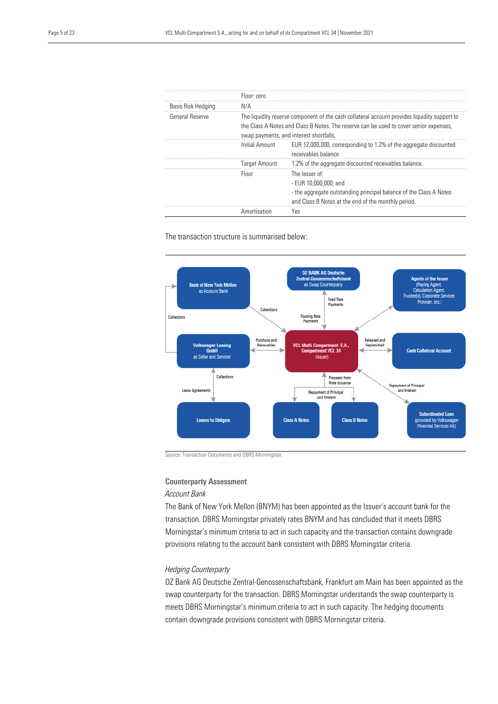|                    | Floor: zero          |                                                                                                                                                                                                                                   |  |
|--------------------|----------------------|-----------------------------------------------------------------------------------------------------------------------------------------------------------------------------------------------------------------------------------|--|
| Basis Risk Hedging | N/A                  |                                                                                                                                                                                                                                   |  |
| General Reserve    |                      | The liquidity reserve component of the cash collateral account provides liquidity support to<br>the Class A Notes and Class B Notes. The reserve can be used to cover senior expenses,<br>swap payments, and interest shortfalls, |  |
|                    | Initial Amount       | EUR 12,000,000, corresponding to 1.2% of the aggregate discounted<br>receivables balance.                                                                                                                                         |  |
|                    | <b>Target Amount</b> | 1.2% of the aggregate discounted receivables balance.                                                                                                                                                                             |  |
|                    | Floor                | The lesser of:<br>- EUR 10.000.000: and<br>- the aggregate outstanding principal balance of the Class A Notes<br>and Class B Notes at the end of the monthly period.                                                              |  |
|                    | Amortisation         | Yes                                                                                                                                                                                                                               |  |

#### The transaction structure is summarised below:



Source: Transaction Documents and DBRS Morningstar.

#### Counterparty Assessment

#### *Account Bank*

The Bank of New York Mellon (BNYM) has been appointed as the Issuer's account bank for the transaction. DBRS Morningstar privately rates BNYM and has concluded that it meets DBRS Morningstar's minimum criteria to act in such capacity and the transaction contains downgrade provisions relating to the account bank consistent with DBRS Morningstar criteria.

#### *Hedging Counterparty*

DZ Bank AG Deutsche Zentral-Genossenschaftsbank, Frankfurt am Main has been appointed as the swap counterparty for the transaction. DBRS Morningstar understands the swap counterparty is meets DBRS Morningstar's minimum criteria to act in such capacity. The hedging documents contain downgrade provisions consistent with DBRS Morningstar criteria.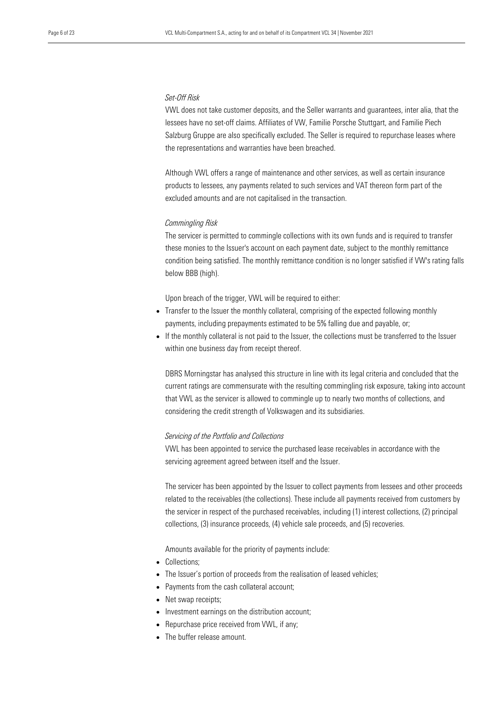#### *Set-Off Risk*

VWL does not take customer deposits, and the Seller warrants and guarantees, inter alia, that the lessees have no set-off claims. Affiliates of VW, Familie Porsche Stuttgart, and Familie Piech Salzburg Gruppe are also specifically excluded. The Seller is required to repurchase leases where the representations and warranties have been breached.

Although VWL offers a range of maintenance and other services, as well as certain insurance products to lessees, any payments related to such services and VAT thereon form part of the excluded amounts and are not capitalised in the transaction.

#### *Commingling Risk*

The servicer is permitted to commingle collections with its own funds and is required to transfer these monies to the Issuer's account on each payment date, subject to the monthly remittance condition being satisfied. The monthly remittance condition is no longer satisfied if VW's rating falls below BBB (high).

Upon breach of the trigger, VWL will be required to either:

- Transfer to the Issuer the monthly collateral, comprising of the expected following monthly payments, including prepayments estimated to be 5% falling due and payable, or;
- If the monthly collateral is not paid to the Issuer, the collections must be transferred to the Issuer within one business day from receipt thereof.

DBRS Morningstar has analysed this structure in line with its legal criteria and concluded that the current ratings are commensurate with the resulting commingling risk exposure, taking into account that VWL as the servicer is allowed to commingle up to nearly two months of collections, and considering the credit strength of Volkswagen and its subsidiaries.

#### *Servicing of the Portfolio and Collections*

VWL has been appointed to service the purchased lease receivables in accordance with the servicing agreement agreed between itself and the Issuer.

The servicer has been appointed by the Issuer to collect payments from lessees and other proceeds related to the receivables (the collections). These include all payments received from customers by the servicer in respect of the purchased receivables, including (1) interest collections, (2) principal collections, (3) insurance proceeds, (4) vehicle sale proceeds, and (5) recoveries.

Amounts available for the priority of payments include:

- Collections;
- The Issuer's portion of proceeds from the realisation of leased vehicles;
- Payments from the cash collateral account;
- Net swap receipts;
- Investment earnings on the distribution account;
- Repurchase price received from VWL, if any;
- The buffer release amount.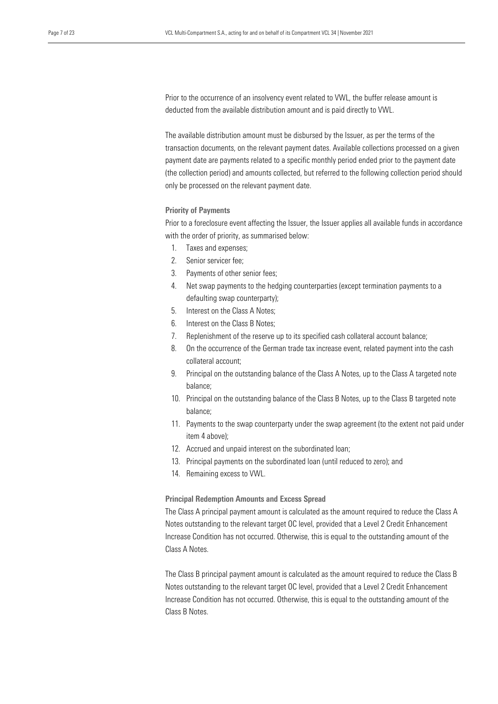Prior to the occurrence of an insolvency event related to VWL, the buffer release amount is deducted from the available distribution amount and is paid directly to VWL.

The available distribution amount must be disbursed by the Issuer, as per the terms of the transaction documents, on the relevant payment dates. Available collections processed on a given payment date are payments related to a specific monthly period ended prior to the payment date (the collection period) and amounts collected, but referred to the following collection period should only be processed on the relevant payment date.

#### Priority of Payments

Prior to a foreclosure event affecting the Issuer, the Issuer applies all available funds in accordance with the order of priority, as summarised below:

- 1. Taxes and expenses;
- 2. Senior servicer fee;
- 3. Payments of other senior fees;
- 4. Net swap payments to the hedging counterparties (except termination payments to a defaulting swap counterparty);
- 5. Interest on the Class A Notes;
- 6. Interest on the Class B Notes;
- 7. Replenishment of the reserve up to its specified cash collateral account balance;
- 8. On the occurrence of the German trade tax increase event, related payment into the cash collateral account;
- 9. Principal on the outstanding balance of the Class A Notes, up to the Class A targeted note balance;
- 10. Principal on the outstanding balance of the Class B Notes, up to the Class B targeted note balance;
- 11. Payments to the swap counterparty under the swap agreement (to the extent not paid under item 4 above);
- 12. Accrued and unpaid interest on the subordinated loan;
- 13. Principal payments on the subordinated loan (until reduced to zero); and
- 14. Remaining excess to VWL.

#### Principal Redemption Amounts and Excess Spread

The Class A principal payment amount is calculated as the amount required to reduce the Class A Notes outstanding to the relevant target OC level, provided that a Level 2 Credit Enhancement Increase Condition has not occurred. Otherwise, this is equal to the outstanding amount of the Class A Notes.

The Class B principal payment amount is calculated as the amount required to reduce the Class B Notes outstanding to the relevant target OC level, provided that a Level 2 Credit Enhancement Increase Condition has not occurred. Otherwise, this is equal to the outstanding amount of the Class B Notes.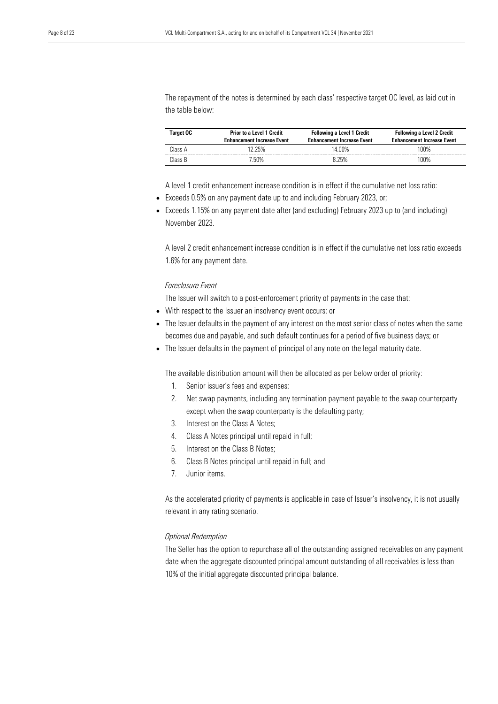The repayment of the notes is determined by each class' respective target OC level, as laid out in the table below:

| Target OC | <b>Prior to a Level 1 Credit</b><br><b>Enhancement Increase Event</b> | <b>Following a Level 1 Credit</b><br><b>Enhancement Increase Event</b> | <b>Following a Level 2 Credit</b><br><b>Enhancement Increase Event</b> |
|-----------|-----------------------------------------------------------------------|------------------------------------------------------------------------|------------------------------------------------------------------------|
| Class A   | l2 25%                                                                | 14 00%                                                                 | 100%                                                                   |
| Class B   | ' 50% '                                                               | 8 25%                                                                  | 100%                                                                   |

A level 1 credit enhancement increase condition is in effect if the cumulative net loss ratio:

- Exceeds 0.5% on any payment date up to and including February 2023, or;
- Exceeds 1.15% on any payment date after (and excluding) February 2023 up to (and including) November 2023.

A level 2 credit enhancement increase condition is in effect if the cumulative net loss ratio exceeds 1.6% for any payment date.

#### *Foreclosure Event*

The Issuer will switch to a post-enforcement priority of payments in the case that:

- With respect to the Issuer an insolvency event occurs; or
- The Issuer defaults in the payment of any interest on the most senior class of notes when the same becomes due and payable, and such default continues for a period of five business days; or
- The Issuer defaults in the payment of principal of any note on the legal maturity date.

The available distribution amount will then be allocated as per below order of priority:

- 1. Senior issuer's fees and expenses;
- 2. Net swap payments, including any termination payment payable to the swap counterparty except when the swap counterparty is the defaulting party;
- 3. Interest on the Class A Notes;
- 4. Class A Notes principal until repaid in full;
- 5. Interest on the Class B Notes;
- 6. Class B Notes principal until repaid in full; and
- 7. Junior items.

As the accelerated priority of payments is applicable in case of Issuer's insolvency, it is not usually relevant in any rating scenario.

#### *Optional Redemption*

The Seller has the option to repurchase all of the outstanding assigned receivables on any payment date when the aggregate discounted principal amount outstanding of all receivables is less than 10% of the initial aggregate discounted principal balance.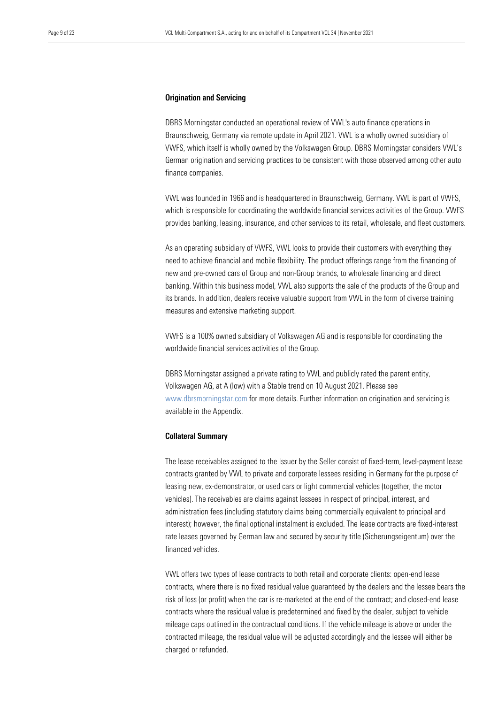#### **Origination and Servicing**

DBRS Morningstar conducted an operational review of VWL's auto finance operations in Braunschweig, Germany via remote update in April 2021. VWL is a wholly owned subsidiary of VWFS, which itself is wholly owned by the Volkswagen Group. DBRS Morningstar considers VWL's German origination and servicing practices to be consistent with those observed among other auto finance companies.

VWL was founded in 1966 and is headquartered in Braunschweig, Germany. VWL is part of VWFS, which is responsible for coordinating the worldwide financial services activities of the Group. VWFS provides banking, leasing, insurance, and other services to its retail, wholesale, and fleet customers.

As an operating subsidiary of VWFS, VWL looks to provide their customers with everything they need to achieve financial and mobile flexibility. The product offerings range from the financing of new and pre-owned cars of Group and non-Group brands, to wholesale financing and direct banking. Within this business model, VWL also supports the sale of the products of the Group and its brands. In addition, dealers receive valuable support from VWL in the form of diverse training measures and extensive marketing support.

VWFS is a 100% owned subsidiary of Volkswagen AG and is responsible for coordinating the worldwide financial services activities of the Group.

DBRS Morningstar assigned a private rating to VWL and publicly rated the parent entity, Volkswagen AG, at A (low) with a Stable trend on 10 August 2021. Please see www.dbrsmorningstar.com for more details. Further information on origination and servicing is available in the Appendix.

#### Collateral Summary

The lease receivables assigned to the Issuer by the Seller consist of fixed-term, level-payment lease contracts granted by VWL to private and corporate lessees residing in Germany for the purpose of leasing new, ex-demonstrator, or used cars or light commercial vehicles (together, the motor vehicles). The receivables are claims against lessees in respect of principal, interest, and administration fees (including statutory claims being commercially equivalent to principal and interest); however, the final optional instalment is excluded. The lease contracts are fixed-interest rate leases governed by German law and secured by security title (Sicherungseigentum) over the financed vehicles.

VWL offers two types of lease contracts to both retail and corporate clients: open-end lease contracts, where there is no fixed residual value guaranteed by the dealers and the lessee bears the risk of loss (or profit) when the car is re-marketed at the end of the contract; and closed-end lease contracts where the residual value is predetermined and fixed by the dealer, subject to vehicle mileage caps outlined in the contractual conditions. If the vehicle mileage is above or under the contracted mileage, the residual value will be adjusted accordingly and the lessee will either be charged or refunded.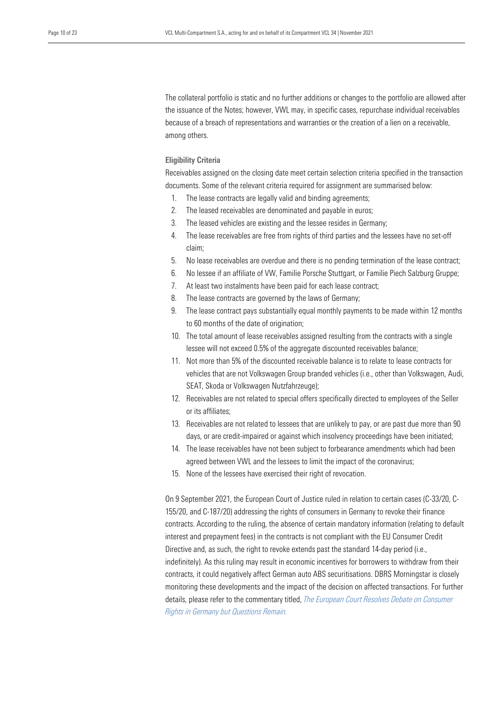The collateral portfolio is static and no further additions or changes to the portfolio are allowed after the issuance of the Notes; however, VWL may, in specific cases, repurchase individual receivables because of a breach of representations and warranties or the creation of a lien on a receivable, among others.

#### Eligibility Criteria

Receivables assigned on the closing date meet certain selection criteria specified in the transaction documents. Some of the relevant criteria required for assignment are summarised below:

- 1. The lease contracts are legally valid and binding agreements;
- 2. The leased receivables are denominated and payable in euros;
- 3. The leased vehicles are existing and the lessee resides in Germany;
- 4. The lease receivables are free from rights of third parties and the lessees have no set-off claim;
- 5. No lease receivables are overdue and there is no pending termination of the lease contract;
- 6. No lessee if an affiliate of VW, Familie Porsche Stuttgart, or Familie Piech Salzburg Gruppe;
- 7. At least two instalments have been paid for each lease contract;
- 8. The lease contracts are governed by the laws of Germany;
- 9. The lease contract pays substantially equal monthly payments to be made within 12 months to 60 months of the date of origination;
- 10. The total amount of lease receivables assigned resulting from the contracts with a single lessee will not exceed 0.5% of the aggregate discounted receivables balance;
- 11. Not more than 5% of the discounted receivable balance is to relate to lease contracts for vehicles that are not Volkswagen Group branded vehicles (i.e., other than Volkswagen, Audi, SEAT, Skoda or Volkswagen Nutzfahrzeuge);
- 12. Receivables are not related to special offers specifically directed to employees of the Seller or its affiliates;
- 13. Receivables are not related to lessees that are unlikely to pay, or are past due more than 90 days, or are credit-impaired or against which insolvency proceedings have been initiated;
- 14. The lease receivables have not been subject to forbearance amendments which had been agreed between VWL and the lessees to limit the impact of the coronavirus;
- 15. None of the lessees have exercised their right of revocation.

On 9 September 2021, the European Court of Justice ruled in relation to certain cases (C-33/20, C-155/20, and C-187/20) addressing the rights of consumers in Germany to revoke their finance contracts. According to the ruling, the absence of certain mandatory information (relating to default interest and prepayment fees) in the contracts is not compliant with the EU Consumer Credit Directive and, as such, the right to revoke extends past the standard 14-day period (i.e., indefinitely). As this ruling may result in economic incentives for borrowers to withdraw from their contracts, it could negatively affect German auto ABS securitisations. DBRS Morningstar is closely monitoring these developments and the impact of the decision on affected transactions. For further details, please refer to the commentary titled, *[The European Court Resolves Debate on Consumer](https://www.dbrsmorningstar.com/research/384995/the-european-court-resolves-debate-on-consumer-rights-in-germany-but-questions-remain)  [Rights in Germany but Questions Remain.](https://www.dbrsmorningstar.com/research/384995/the-european-court-resolves-debate-on-consumer-rights-in-germany-but-questions-remain)*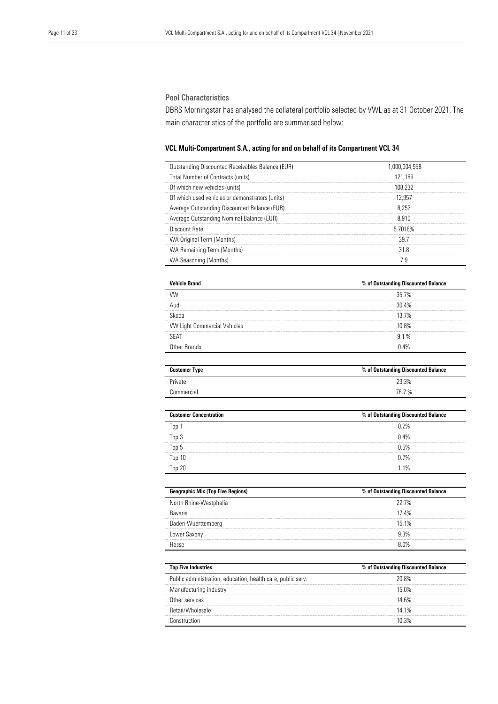#### Pool Characteristics

DBRS Morningstar has analysed the collateral portfolio selected by VWL as at 31 October 2021. The main characteristics of the portfolio are summarised below:

#### VCL Multi-Compartment S.A., acting for and on behalf of its Compartment VCL 34

| Outstanding Discounted Receivables Balance (EUR) | 1.000.004.958 |
|--------------------------------------------------|---------------|
| <b>Total Number of Contracts (units)</b>         | 121.189       |
| Of which new vehicles (units)                    | 108.232       |
| Of which used vehicles or demonstrators (units)  | 12.957        |
| Average Outstanding Discounted Balance (EUR)     | 8.252         |
| Average Outstanding Nominal Balance (EUR)        | 8.910         |
| Discount Bate                                    | 5 7016%       |
| WA Original Term (Months)                        | 39.7          |
| WA Remaining Term (Months)                       | 31 R          |
| WA Seasoning (Months)                            |               |

| <b>Vehicle Brand</b>                | % of Outstanding Discounted Balance |
|-------------------------------------|-------------------------------------|
|                                     | 35 7%                               |
|                                     | 30.4%                               |
|                                     | 137%                                |
| <b>VW Light Commercial Vehicles</b> | 1በ ጸ%                               |
| SEA <sup>-</sup>                    | 91%                                 |
| Other Brands                        | $\Delta\%$                          |

| <b>Customer Type</b> | % of Outstanding Discounted Balance |
|----------------------|-------------------------------------|
| Private              | 23.3%                               |
| Commercial           | 76.7 %                              |

| <b>Customer Concentration</b> | % of Outstanding Discounted Balance |
|-------------------------------|-------------------------------------|
| Ton                           | 0.2%                                |
| Ton 3                         | 0.4%                                |
| Top 5                         | 0.5%                                |
| Top 10                        | 0.7%                                |
| Top 20                        | 1 1%                                |
|                               |                                     |

| <b>Geographic Mix (Top Five Regions)</b> | % of Outstanding Discounted Balance |
|------------------------------------------|-------------------------------------|
| North Rhine-Westphalia                   | 22.7%                               |
| Ravaria                                  | 17.4%                               |
| Baden-Wuerttemberg                       | 15 1%                               |
| Lower Saxony                             | d 3%                                |
|                                          | $\bigcap$                           |

| <b>Top Five Industries</b>                                  | % of Outstanding Discounted Balance |  |
|-------------------------------------------------------------|-------------------------------------|--|
| Public administration, education, health care, public serv. | ንበ ጸ%                               |  |
| Manufacturing industry                                      | 15 በ%                               |  |
| Other services                                              | 14 6%                               |  |
| Retail/Wholesale                                            | 14 1%                               |  |
|                                                             |                                     |  |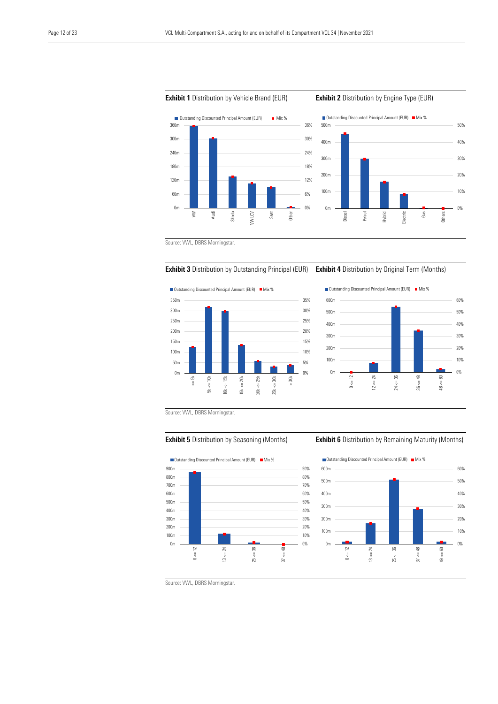









0%

10% 20% 30%

40% 50%



Source: VWL, DBRS Morningstar.



#### **Exhibit 5** Distribution by Seasoning (Months) **Exhibit 6** Distribution by Remaining Maturity (Months)



Source: VWL, DBRS Morningstar.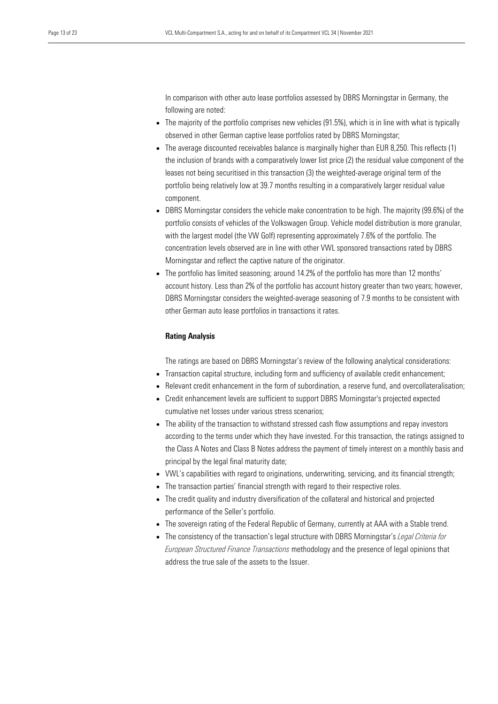In comparison with other auto lease portfolios assessed by DBRS Morningstar in Germany, the following are noted:

- The majority of the portfolio comprises new vehicles (91.5%), which is in line with what is typically observed in other German captive lease portfolios rated by DBRS Morningstar;
- The average discounted receivables balance is marginally higher than EUR 8,250. This reflects (1) the inclusion of brands with a comparatively lower list price (2) the residual value component of the leases not being securitised in this transaction (3) the weighted-average original term of the portfolio being relatively low at 39.7 months resulting in a comparatively larger residual value component.
- DBRS Morningstar considers the vehicle make concentration to be high. The majority (99.6%) of the portfolio consists of vehicles of the Volkswagen Group. Vehicle model distribution is more granular, with the largest model (the VW Golf) representing approximately 7.6% of the portfolio. The concentration levels observed are in line with other VWL sponsored transactions rated by DBRS Morningstar and reflect the captive nature of the originator.
- The portfolio has limited seasoning; around 14.2% of the portfolio has more than 12 months' account history. Less than 2% of the portfolio has account history greater than two years; however, DBRS Morningstar considers the weighted-average seasoning of 7.9 months to be consistent with other German auto lease portfolios in transactions it rates.

#### Rating Analysis

The ratings are based on DBRS Morningstar's review of the following analytical considerations:

- Transaction capital structure, including form and sufficiency of available credit enhancement;
- Relevant credit enhancement in the form of subordination, a reserve fund, and overcollateralisation;
- Credit enhancement levels are sufficient to support DBRS Morningstar's projected expected cumulative net losses under various stress scenarios;
- The ability of the transaction to withstand stressed cash flow assumptions and repay investors according to the terms under which they have invested. For this transaction, the ratings assigned to the Class A Notes and Class B Notes address the payment of timely interest on a monthly basis and principal by the legal final maturity date;
- VWL's capabilities with regard to originations, underwriting, servicing, and its financial strength;
- The transaction parties' financial strength with regard to their respective roles.
- The credit quality and industry diversification of the collateral and historical and projected performance of the Seller's portfolio.
- The sovereign rating of the Federal Republic of Germany, currently at AAA with a Stable trend.
- The consistency of the transaction's legal structure with DBRS Morningstar's *Legal Criteria for European Structured Finance Transactions* methodology and the presence of legal opinions that address the true sale of the assets to the Issuer.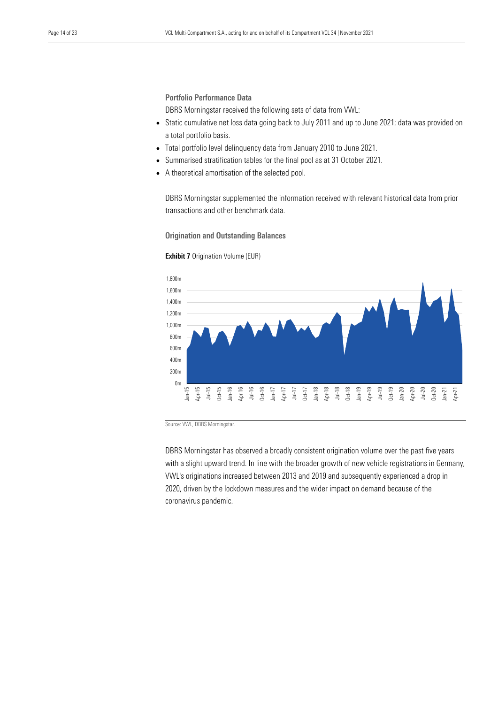Portfolio Performance Data

DBRS Morningstar received the following sets of data from VWL:

- Static cumulative net loss data going back to July 2011 and up to June 2021; data was provided on a total portfolio basis.
- Total portfolio level delinquency data from January 2010 to June 2021.
- Summarised stratification tables for the final pool as at 31 October 2021.
- A theoretical amortisation of the selected pool.

DBRS Morningstar supplemented the information received with relevant historical data from prior transactions and other benchmark data.

#### Origination and Outstanding Balances

 $0<sub>m</sub>$ 200m 400m  $600m$  $800m$ 1,000m 1,200m 1,400m 1,600m 1,800m Jan-15 Apr-15 Jul-15 Oct-15 Jan-16 Apr-16 Jul-16 Oct-16 Jan-17 Apr-17 Jul-17 Oct-17 Jan-18 Apr-18 Jul-18 Oct-18 Jan-19 Apr-19 Jul-19 Oct-19 Jan-20 Apr-20 Jul-20 Oct-20 Jan-21 Apr-21

### **Exhibit 7** Origination Volume (EUR)

Source: VWL, DBRS Morningstar.

DBRS Morningstar has observed a broadly consistent origination volume over the past five years with a slight upward trend. In line with the broader growth of new vehicle registrations in Germany, VWL's originations increased between 2013 and 2019 and subsequently experienced a drop in 2020, driven by the lockdown measures and the wider impact on demand because of the coronavirus pandemic.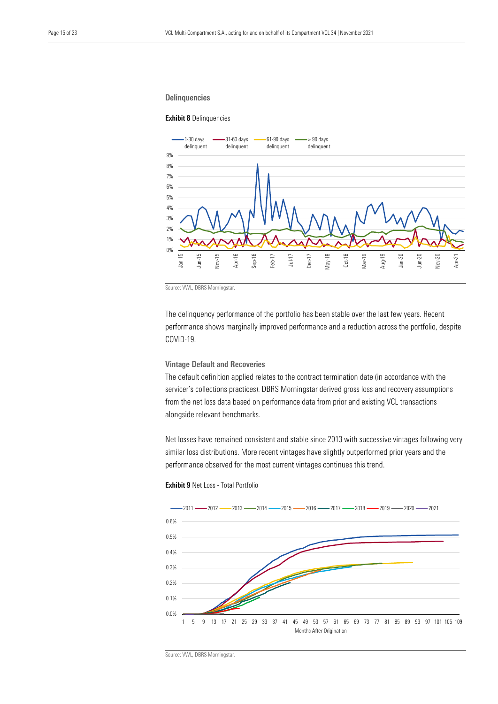#### **Delinquencies**

#### Exhibit 8 Delinquencies



Source: VWL, DBRS Morningstar.

The delinquency performance of the portfolio has been stable over the last few years. Recent performance shows marginally improved performance and a reduction across the portfolio, despite COVID-19.

#### Vintage Default and Recoveries

The default definition applied relates to the contract termination date (in accordance with the servicer's collections practices). DBRS Morningstar derived gross loss and recovery assumptions from the net loss data based on performance data from prior and existing VCL transactions alongside relevant benchmarks.

Net losses have remained consistent and stable since 2013 with successive vintages following very similar loss distributions. More recent vintages have slightly outperformed prior years and the performance observed for the most current vintages continues this trend.





Source: VWL, DBRS Morningstar.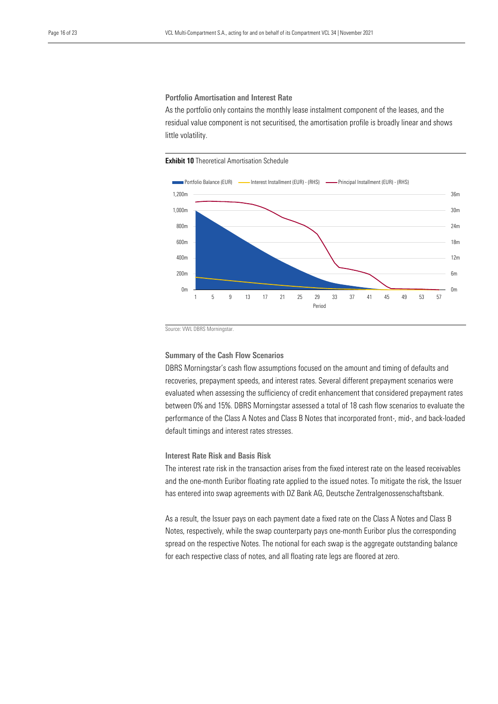Portfolio Amortisation and Interest Rate

As the portfolio only contains the monthly lease instalment component of the leases, and the residual value component is not securitised, the amortisation profile is broadly linear and shows little volatility.

**Exhibit 10** Theoretical Amortisation Schedule



Source: VWL DBRS Morningstar.

#### Summary of the Cash Flow Scenarios

DBRS Morningstar's cash flow assumptions focused on the amount and timing of defaults and recoveries, prepayment speeds, and interest rates. Several different prepayment scenarios were evaluated when assessing the sufficiency of credit enhancement that considered prepayment rates between 0% and 15%. DBRS Morningstar assessed a total of 18 cash flow scenarios to evaluate the performance of the Class A Notes and Class B Notes that incorporated front-, mid-, and back-loaded default timings and interest rates stresses.

Interest Rate Risk and Basis Risk

The interest rate risk in the transaction arises from the fixed interest rate on the leased receivables and the one-month Euribor floating rate applied to the issued notes. To mitigate the risk, the Issuer has entered into swap agreements with DZ Bank AG, Deutsche Zentralgenossenschaftsbank.

As a result, the Issuer pays on each payment date a fixed rate on the Class A Notes and Class B Notes, respectively, while the swap counterparty pays one-month Euribor plus the corresponding spread on the respective Notes. The notional for each swap is the aggregate outstanding balance for each respective class of notes, and all floating rate legs are floored at zero.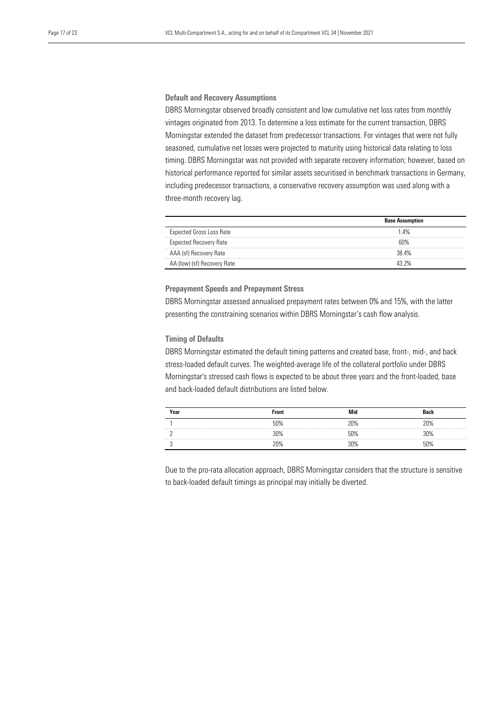#### Default and Recovery Assumptions

DBRS Morningstar observed broadly consistent and low cumulative net loss rates from monthly vintages originated from 2013. To determine a loss estimate for the current transaction, DBRS Morningstar extended the dataset from predecessor transactions. For vintages that were not fully seasoned, cumulative net losses were projected to maturity using historical data relating to loss timing. DBRS Morningstar was not provided with separate recovery information; however, based on historical performance reported for similar assets securitised in benchmark transactions in Germany, including predecessor transactions, a conservative recovery assumption was used along with a three-month recovery lag.

|                                 | <b>Base Assumption</b> |  |
|---------------------------------|------------------------|--|
| <b>Expected Gross Loss Rate</b> | 14%                    |  |
| <b>Expected Recovery Rate</b>   | ናበ%                    |  |
| AAA (sf) Recovery Rate          | 38.4%                  |  |
| AA (low) (sf) Recovery Rate     | 13 ን%                  |  |
|                                 |                        |  |

#### Prepayment Speeds and Prepayment Stress

DBRS Morningstar assessed annualised prepayment rates between 0% and 15%, with the latter presenting the constraining scenarios within DBRS Morningstar's cash flow analysis.

#### Timing of Defaults

DBRS Morningstar estimated the default timing patterns and created base, front-, mid-, and back stress-loaded default curves. The weighted-average life of the collateral portfolio under DBRS Morningstar's stressed cash flows is expected to be about three years and the front-loaded, base and back-loaded default distributions are listed below.

| Year                       | <b>Front</b> | Mid | Back |
|----------------------------|--------------|-----|------|
|                            | 50%          | ንበ% | ገበ%  |
| on you was you can you and | 30%          | 50% | ነበ%  |
|                            | 20%          | ነበ% | ነበ‰  |

Due to the pro-rata allocation approach, DBRS Morningstar considers that the structure is sensitive to back-loaded default timings as principal may initially be diverted.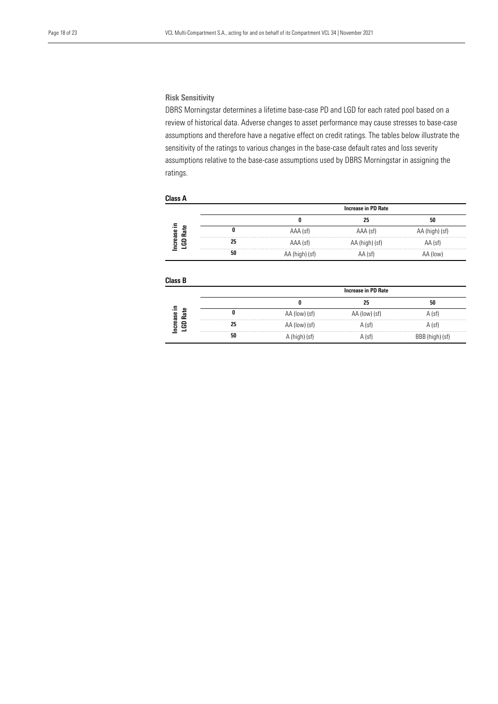#### Risk Sensitivity

DBRS Morningstar determines a lifetime base-case PD and LGD for each rated pool based on a review of historical data. Adverse changes to asset performance may cause stresses to base-case assumptions and therefore have a negative effect on credit ratings. The tables below illustrate the sensitivity of the ratings to various changes in the base-case default rates and loss severity assumptions relative to the base-case assumptions used by DBRS Morningstar in assigning the ratings.

#### Class A

|           |                                         | Increase in PD Rate |                |                |
|-----------|-----------------------------------------|---------------------|----------------|----------------|
|           |                                         |                     | 25             | 50             |
| ease<br>æ |                                         | AAA (sf)            | AAA (sf)       | AA (high) (sf) |
| පි<br>튭   |                                         | AAA (sf)            | AA (high) (sf) | $AA$ (sf)      |
| ٠         | and the control of the control of<br>50 | AA (high) (sf)      | AA (sf)        | (low)          |
|           |                                         |                     |                |                |

#### Class B

|             |                                                                  | Increase in PD Rate |                     |        |
|-------------|------------------------------------------------------------------|---------------------|---------------------|--------|
|             |                                                                  |                     |                     | 50     |
| Φ<br>졅<br>Š |                                                                  | AA (low) (st)       | . (low) (st)<br>AA. | A (sf) |
| ឌ<br>r m    | 25                                                               | AA (low) (st)       | A (sf)              | A (sf) |
|             | and the third and the state and the third the third theory<br>50 |                     | . (st)              | ı ist' |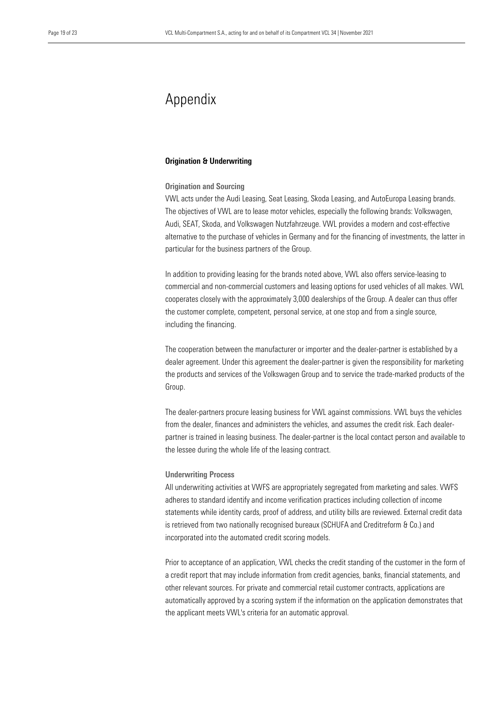## Appendix

#### Origination & Underwriting

#### Origination and Sourcing

VWL acts under the Audi Leasing, Seat Leasing, Skoda Leasing, and AutoEuropa Leasing brands. The objectives of VWL are to lease motor vehicles, especially the following brands: Volkswagen, Audi, SEAT, Skoda, and Volkswagen Nutzfahrzeuge. VWL provides a modern and cost-effective alternative to the purchase of vehicles in Germany and for the financing of investments, the latter in particular for the business partners of the Group.

In addition to providing leasing for the brands noted above, VWL also offers service-leasing to commercial and non-commercial customers and leasing options for used vehicles of all makes. VWL cooperates closely with the approximately 3,000 dealerships of the Group. A dealer can thus offer the customer complete, competent, personal service, at one stop and from a single source, including the financing.

The cooperation between the manufacturer or importer and the dealer-partner is established by a dealer agreement. Under this agreement the dealer-partner is given the responsibility for marketing the products and services of the Volkswagen Group and to service the trade-marked products of the Group.

The dealer-partners procure leasing business for VWL against commissions. VWL buys the vehicles from the dealer, finances and administers the vehicles, and assumes the credit risk. Each dealerpartner is trained in leasing business. The dealer-partner is the local contact person and available to the lessee during the whole life of the leasing contract.

#### Underwriting Process

All underwriting activities at VWFS are appropriately segregated from marketing and sales. VWFS adheres to standard identify and income verification practices including collection of income statements while identity cards, proof of address, and utility bills are reviewed. External credit data is retrieved from two nationally recognised bureaux (SCHUFA and Creditreform & Co.) and incorporated into the automated credit scoring models.

Prior to acceptance of an application, VWL checks the credit standing of the customer in the form of a credit report that may include information from credit agencies, banks, financial statements, and other relevant sources. For private and commercial retail customer contracts, applications are automatically approved by a scoring system if the information on the application demonstrates that the applicant meets VWL's criteria for an automatic approval.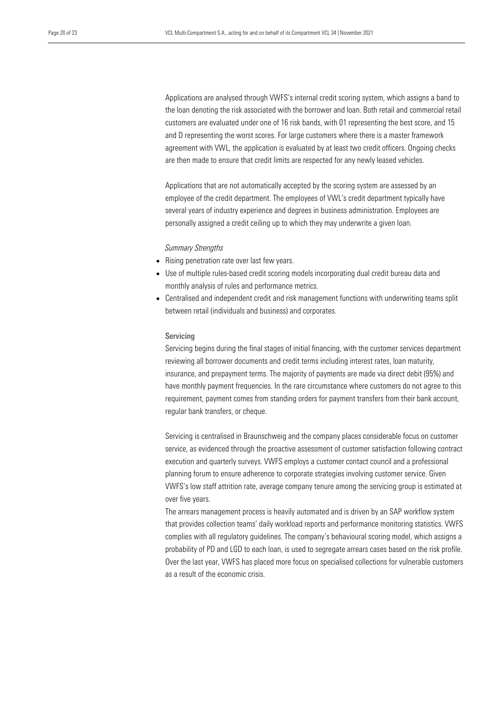Applications are analysed through VWFS's internal credit scoring system, which assigns a band to the loan denoting the risk associated with the borrower and loan. Both retail and commercial retail customers are evaluated under one of 16 risk bands, with 01 representing the best score, and 15 and D representing the worst scores. For large customers where there is a master framework agreement with VWL, the application is evaluated by at least two credit officers. Ongoing checks are then made to ensure that credit limits are respected for any newly leased vehicles.

Applications that are not automatically accepted by the scoring system are assessed by an employee of the credit department. The employees of VWL's credit department typically have several years of industry experience and degrees in business administration. Employees are personally assigned a credit ceiling up to which they may underwrite a given loan.

*Summary Strengths*

- Rising penetration rate over last few years.
- Use of multiple rules-based credit scoring models incorporating dual credit bureau data and monthly analysis of rules and performance metrics.
- Centralised and independent credit and risk management functions with underwriting teams split between retail (individuals and business) and corporates.

#### Servicing

Servicing begins during the final stages of initial financing, with the customer services department reviewing all borrower documents and credit terms including interest rates, loan maturity, insurance, and prepayment terms. The majority of payments are made via direct debit (95%) and have monthly payment frequencies. In the rare circumstance where customers do not agree to this requirement, payment comes from standing orders for payment transfers from their bank account, regular bank transfers, or cheque.

Servicing is centralised in Braunschweig and the company places considerable focus on customer service, as evidenced through the proactive assessment of customer satisfaction following contract execution and quarterly surveys. VWFS employs a customer contact council and a professional planning forum to ensure adherence to corporate strategies involving customer service. Given VWFS's low staff attrition rate, average company tenure among the servicing group is estimated at over five years.

The arrears management process is heavily automated and is driven by an SAP workflow system that provides collection teams' daily workload reports and performance monitoring statistics. VWFS complies with all regulatory guidelines. The company's behavioural scoring model, which assigns a probability of PD and LGD to each loan, is used to segregate arrears cases based on the risk profile. Over the last year, VWFS has placed more focus on specialised collections for vulnerable customers as a result of the economic crisis.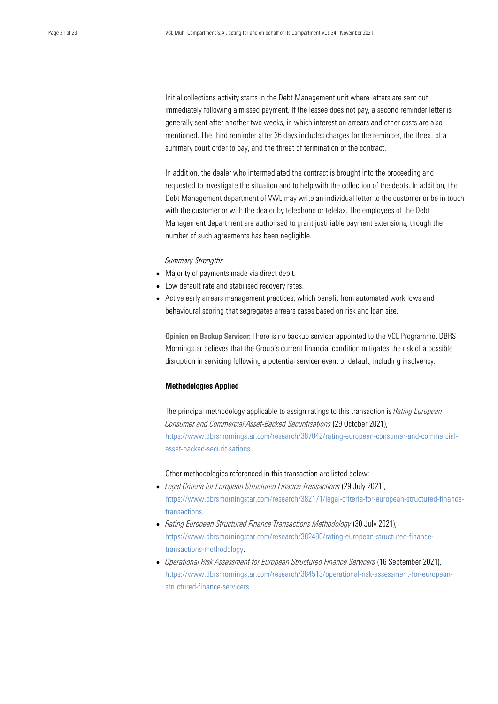Initial collections activity starts in the Debt Management unit where letters are sent out immediately following a missed payment. If the lessee does not pay, a second reminder letter is generally sent after another two weeks, in which interest on arrears and other costs are also mentioned. The third reminder after 36 days includes charges for the reminder, the threat of a summary court order to pay, and the threat of termination of the contract.

In addition, the dealer who intermediated the contract is brought into the proceeding and requested to investigate the situation and to help with the collection of the debts. In addition, the Debt Management department of VWL may write an individual letter to the customer or be in touch with the customer or with the dealer by telephone or telefax. The employees of the Debt Management department are authorised to grant justifiable payment extensions, though the number of such agreements has been negligible.

#### *Summary Strengths*

- Majority of payments made via direct debit.
- Low default rate and stabilised recovery rates.
- Active early arrears management practices, which benefit from automated workflows and behavioural scoring that segregates arrears cases based on risk and loan size.

Opinion on Backup Servicer: There is no backup servicer appointed to the VCL Programme. DBRS Morningstar believes that the Group's current financial condition mitigates the risk of a possible disruption in servicing following a potential servicer event of default, including insolvency.

#### Methodologies Applied

The principal methodology applicable to assign ratings to this transaction is *Rating European Consumer and Commercial Asset-Backed Securitisations* (29 October 2021), [https://www.dbrsmorningstar.com/research/387042/rating-european-consumer-and-commercial](https://www.dbrsmorningstar.com/research/387042/rating-european-consumer-and-commercial-asset-backed-securitisations)[asset-backed-securitisations.](https://www.dbrsmorningstar.com/research/387042/rating-european-consumer-and-commercial-asset-backed-securitisations)

Other methodologies referenced in this transaction are listed below:

- *Legal Criteria for European Structured Finance Transactions* (29 July 2021), [https://www.dbrsmorningstar.com/research/382171/legal-criteria-for-european-structured-finance](https://www.dbrsmorningstar.com/research/382171/legal-criteria-for-european-structured-finance-transactions)[transactions.](https://www.dbrsmorningstar.com/research/382171/legal-criteria-for-european-structured-finance-transactions)
- *Rating European Structured Finance Transactions Methodology* (30 July 2021), [https://www.dbrsmorningstar.com/research/382486/rating-european-structured-finance](https://www.dbrsmorningstar.com/research/382486/rating-european-structured-finance-transactions-methodology)[transactions-methodology.](https://www.dbrsmorningstar.com/research/382486/rating-european-structured-finance-transactions-methodology)
- *Operational Risk Assessment for European Structured Finance Servicers* (16 September 2021), [https://www.dbrsmorningstar.com/research/384513/operational-risk-assessment-for-european](https://www.dbrsmorningstar.com/research/384513/operational-risk-assessment-for-european-structured-finance-servicers)[structured-finance-servicers.](https://www.dbrsmorningstar.com/research/384513/operational-risk-assessment-for-european-structured-finance-servicers)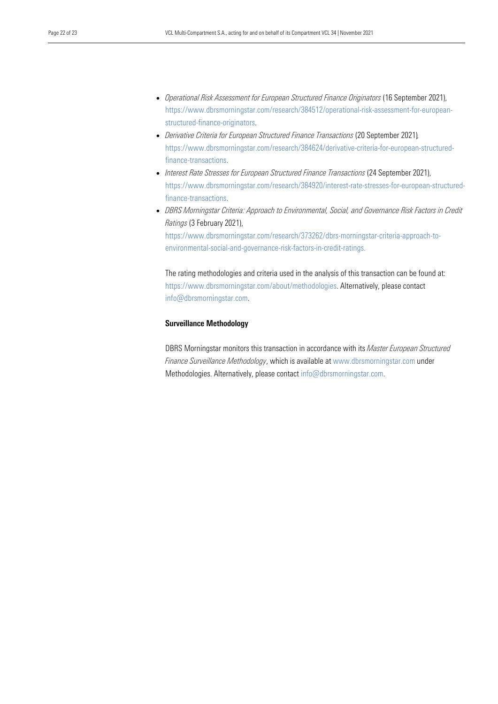- *Operational Risk Assessment for European Structured Finance Originators* (16 September 2021), [https://www.dbrsmorningstar.com/research/384512/operational-risk-assessment-for-european](https://www.dbrsmorningstar.com/research/384512/operational-risk-assessment-for-european-structured-finance-originators)[structured-finance-originators.](https://www.dbrsmorningstar.com/research/384512/operational-risk-assessment-for-european-structured-finance-originators)
- *Derivative Criteria for European Structured Finance Transactions* (20 September 2021)*,*  [https://www.dbrsmorningstar.com/research/384624/derivative-criteria-for-european-structured](https://www.dbrsmorningstar.com/research/384624/derivative-criteria-for-european-structured-finance-transactions)[finance-transactions.](https://www.dbrsmorningstar.com/research/384624/derivative-criteria-for-european-structured-finance-transactions)
- *Interest Rate Stresses for European Structured Finance Transactions* (24 September 2021), [https://www.dbrsmorningstar.com/research/384920/interest-rate-stresses-for-european-structured](https://www.dbrsmorningstar.com/research/384920/interest-rate-stresses-for-european-structured-finance-transactions)[finance-transactions.](https://www.dbrsmorningstar.com/research/384920/interest-rate-stresses-for-european-structured-finance-transactions)
- *DBRS Morningstar Criteria: Approach to Environmental, Social, and Governance Risk Factors in Credit Ratings* (3 February 2021),

[https://www.dbrsmorningstar.com/research/373262/dbrs-morningstar-criteria-approach-to](https://www.dbrsmorningstar.com/research/373262/dbrs-morningstar-criteria-approach-to-environmental-social-and-governance-risk-factors-in-credit-ratings)[environmental-social-and-governance-risk-factors-in-credit-ratings.](https://www.dbrsmorningstar.com/research/373262/dbrs-morningstar-criteria-approach-to-environmental-social-and-governance-risk-factors-in-credit-ratings)

The rating methodologies and criteria used in the analysis of this transaction can be found at: https://www.dbrsmorningstar.com/about/methodologies. Alternatively, please contact info@dbrsmorningstar.com.

#### Surveillance Methodology

DBRS Morningstar monitors this transaction in accordance with its *Master European Structured Finance Surveillance Methodology*, which is available at www.dbrsmorningstar.com under Methodologies. Alternatively, please contact [info@dbrsmorningstar.com.](mailto:info@dbrsmorningstar.com)